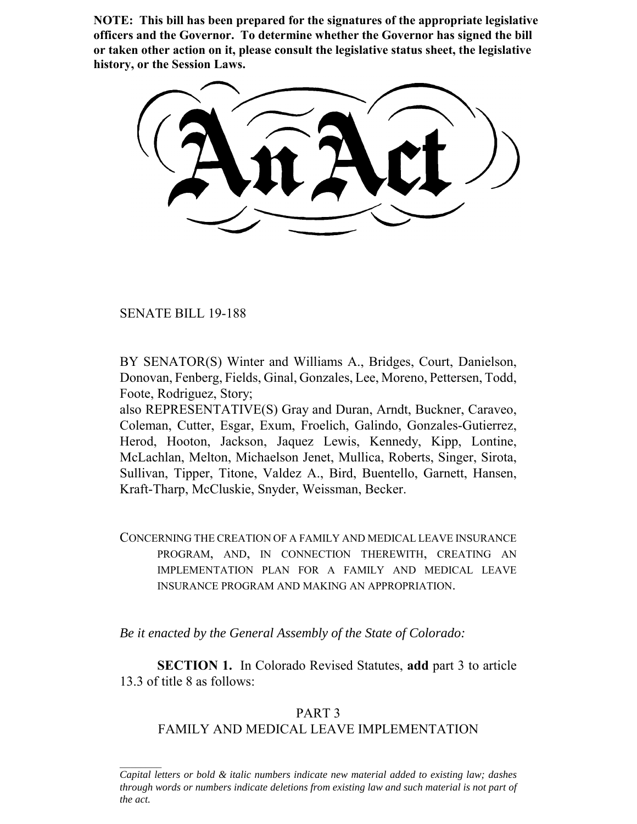**NOTE: This bill has been prepared for the signatures of the appropriate legislative officers and the Governor. To determine whether the Governor has signed the bill or taken other action on it, please consult the legislative status sheet, the legislative history, or the Session Laws.**

SENATE BILL 19-188

BY SENATOR(S) Winter and Williams A., Bridges, Court, Danielson, Donovan, Fenberg, Fields, Ginal, Gonzales, Lee, Moreno, Pettersen, Todd, Foote, Rodriguez, Story;

also REPRESENTATIVE(S) Gray and Duran, Arndt, Buckner, Caraveo, Coleman, Cutter, Esgar, Exum, Froelich, Galindo, Gonzales-Gutierrez, Herod, Hooton, Jackson, Jaquez Lewis, Kennedy, Kipp, Lontine, McLachlan, Melton, Michaelson Jenet, Mullica, Roberts, Singer, Sirota, Sullivan, Tipper, Titone, Valdez A., Bird, Buentello, Garnett, Hansen, Kraft-Tharp, McCluskie, Snyder, Weissman, Becker.

CONCERNING THE CREATION OF A FAMILY AND MEDICAL LEAVE INSURANCE PROGRAM, AND, IN CONNECTION THEREWITH, CREATING AN IMPLEMENTATION PLAN FOR A FAMILY AND MEDICAL LEAVE INSURANCE PROGRAM AND MAKING AN APPROPRIATION.

*Be it enacted by the General Assembly of the State of Colorado:*

**SECTION 1.** In Colorado Revised Statutes, **add** part 3 to article 13.3 of title 8 as follows:

# PART 3 FAMILY AND MEDICAL LEAVE IMPLEMENTATION

*Capital letters or bold & italic numbers indicate new material added to existing law; dashes through words or numbers indicate deletions from existing law and such material is not part of the act.*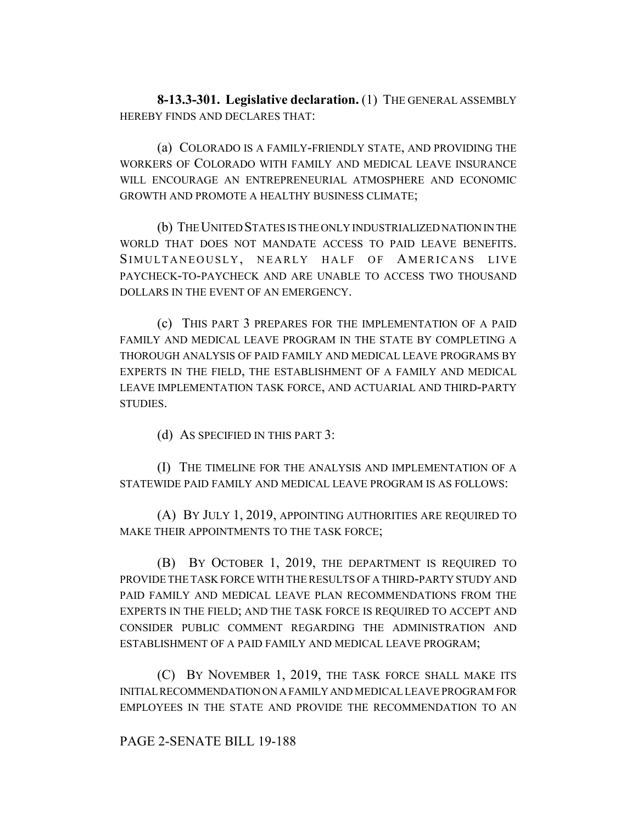**8-13.3-301. Legislative declaration.** (1) THE GENERAL ASSEMBLY HEREBY FINDS AND DECLARES THAT:

(a) COLORADO IS A FAMILY-FRIENDLY STATE, AND PROVIDING THE WORKERS OF COLORADO WITH FAMILY AND MEDICAL LEAVE INSURANCE WILL ENCOURAGE AN ENTREPRENEURIAL ATMOSPHERE AND ECONOMIC GROWTH AND PROMOTE A HEALTHY BUSINESS CLIMATE;

(b) THE UNITED STATES IS THE ONLY INDUSTRIALIZED NATION IN THE WORLD THAT DOES NOT MANDATE ACCESS TO PAID LEAVE BENEFITS. SIMULTANEOUSLY, NEARLY HALF OF AMERICANS LIVE PAYCHECK-TO-PAYCHECK AND ARE UNABLE TO ACCESS TWO THOUSAND DOLLARS IN THE EVENT OF AN EMERGENCY.

(c) THIS PART 3 PREPARES FOR THE IMPLEMENTATION OF A PAID FAMILY AND MEDICAL LEAVE PROGRAM IN THE STATE BY COMPLETING A THOROUGH ANALYSIS OF PAID FAMILY AND MEDICAL LEAVE PROGRAMS BY EXPERTS IN THE FIELD, THE ESTABLISHMENT OF A FAMILY AND MEDICAL LEAVE IMPLEMENTATION TASK FORCE, AND ACTUARIAL AND THIRD-PARTY STUDIES.

(d) AS SPECIFIED IN THIS PART 3:

(I) THE TIMELINE FOR THE ANALYSIS AND IMPLEMENTATION OF A STATEWIDE PAID FAMILY AND MEDICAL LEAVE PROGRAM IS AS FOLLOWS:

(A) BY JULY 1, 2019, APPOINTING AUTHORITIES ARE REQUIRED TO MAKE THEIR APPOINTMENTS TO THE TASK FORCE;

(B) BY OCTOBER 1, 2019, THE DEPARTMENT IS REQUIRED TO PROVIDE THE TASK FORCE WITH THE RESULTS OF A THIRD-PARTY STUDY AND PAID FAMILY AND MEDICAL LEAVE PLAN RECOMMENDATIONS FROM THE EXPERTS IN THE FIELD; AND THE TASK FORCE IS REQUIRED TO ACCEPT AND CONSIDER PUBLIC COMMENT REGARDING THE ADMINISTRATION AND ESTABLISHMENT OF A PAID FAMILY AND MEDICAL LEAVE PROGRAM;

(C) BY NOVEMBER 1, 2019, THE TASK FORCE SHALL MAKE ITS INITIAL RECOMMENDATION ON A FAMILY AND MEDICAL LEAVE PROGRAM FOR EMPLOYEES IN THE STATE AND PROVIDE THE RECOMMENDATION TO AN

## PAGE 2-SENATE BILL 19-188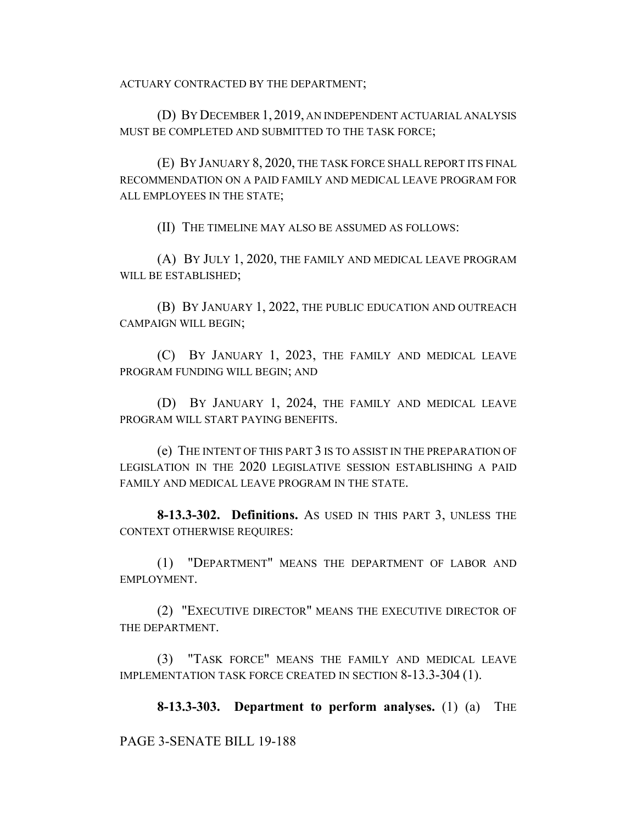ACTUARY CONTRACTED BY THE DEPARTMENT;

(D) BY DECEMBER 1, 2019, AN INDEPENDENT ACTUARIAL ANALYSIS MUST BE COMPLETED AND SUBMITTED TO THE TASK FORCE;

(E) BY JANUARY 8, 2020, THE TASK FORCE SHALL REPORT ITS FINAL RECOMMENDATION ON A PAID FAMILY AND MEDICAL LEAVE PROGRAM FOR ALL EMPLOYEES IN THE STATE;

(II) THE TIMELINE MAY ALSO BE ASSUMED AS FOLLOWS:

(A) BY JULY 1, 2020, THE FAMILY AND MEDICAL LEAVE PROGRAM WILL BE ESTABLISHED;

(B) BY JANUARY 1, 2022, THE PUBLIC EDUCATION AND OUTREACH CAMPAIGN WILL BEGIN;

(C) BY JANUARY 1, 2023, THE FAMILY AND MEDICAL LEAVE PROGRAM FUNDING WILL BEGIN; AND

(D) BY JANUARY 1, 2024, THE FAMILY AND MEDICAL LEAVE PROGRAM WILL START PAYING BENEFITS.

(e) THE INTENT OF THIS PART 3 IS TO ASSIST IN THE PREPARATION OF LEGISLATION IN THE 2020 LEGISLATIVE SESSION ESTABLISHING A PAID FAMILY AND MEDICAL LEAVE PROGRAM IN THE STATE.

**8-13.3-302. Definitions.** AS USED IN THIS PART 3, UNLESS THE CONTEXT OTHERWISE REQUIRES:

(1) "DEPARTMENT" MEANS THE DEPARTMENT OF LABOR AND EMPLOYMENT.

(2) "EXECUTIVE DIRECTOR" MEANS THE EXECUTIVE DIRECTOR OF THE DEPARTMENT.

(3) "TASK FORCE" MEANS THE FAMILY AND MEDICAL LEAVE IMPLEMENTATION TASK FORCE CREATED IN SECTION 8-13.3-304 (1).

**8-13.3-303. Department to perform analyses.** (1) (a) THE

PAGE 3-SENATE BILL 19-188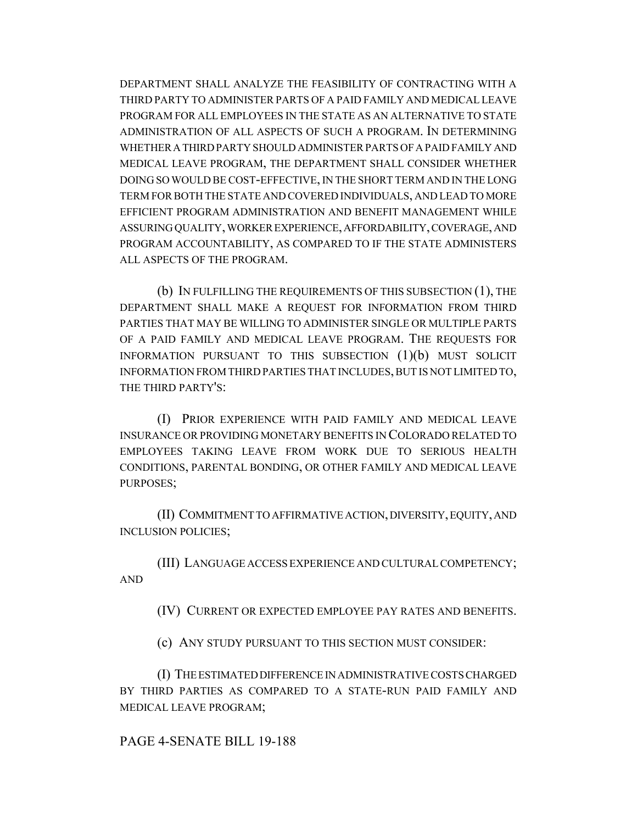DEPARTMENT SHALL ANALYZE THE FEASIBILITY OF CONTRACTING WITH A THIRD PARTY TO ADMINISTER PARTS OF A PAID FAMILY AND MEDICAL LEAVE PROGRAM FOR ALL EMPLOYEES IN THE STATE AS AN ALTERNATIVE TO STATE ADMINISTRATION OF ALL ASPECTS OF SUCH A PROGRAM. IN DETERMINING WHETHER A THIRD PARTY SHOULD ADMINISTER PARTS OF A PAID FAMILY AND MEDICAL LEAVE PROGRAM, THE DEPARTMENT SHALL CONSIDER WHETHER DOING SO WOULD BE COST-EFFECTIVE, IN THE SHORT TERM AND IN THE LONG TERM FOR BOTH THE STATE AND COVERED INDIVIDUALS, AND LEAD TO MORE EFFICIENT PROGRAM ADMINISTRATION AND BENEFIT MANAGEMENT WHILE ASSURING QUALITY, WORKER EXPERIENCE, AFFORDABILITY, COVERAGE, AND PROGRAM ACCOUNTABILITY, AS COMPARED TO IF THE STATE ADMINISTERS ALL ASPECTS OF THE PROGRAM.

(b) IN FULFILLING THE REQUIREMENTS OF THIS SUBSECTION (1), THE DEPARTMENT SHALL MAKE A REQUEST FOR INFORMATION FROM THIRD PARTIES THAT MAY BE WILLING TO ADMINISTER SINGLE OR MULTIPLE PARTS OF A PAID FAMILY AND MEDICAL LEAVE PROGRAM. THE REQUESTS FOR INFORMATION PURSUANT TO THIS SUBSECTION (1)(b) MUST SOLICIT INFORMATION FROM THIRD PARTIES THAT INCLUDES, BUT IS NOT LIMITED TO, THE THIRD PARTY'S:

(I) PRIOR EXPERIENCE WITH PAID FAMILY AND MEDICAL LEAVE INSURANCE OR PROVIDING MONETARY BENEFITS IN COLORADO RELATED TO EMPLOYEES TAKING LEAVE FROM WORK DUE TO SERIOUS HEALTH CONDITIONS, PARENTAL BONDING, OR OTHER FAMILY AND MEDICAL LEAVE PURPOSES;

(II) COMMITMENT TO AFFIRMATIVE ACTION, DIVERSITY, EQUITY, AND INCLUSION POLICIES;

(III) LANGUAGE ACCESS EXPERIENCE AND CULTURAL COMPETENCY; AND

(IV) CURRENT OR EXPECTED EMPLOYEE PAY RATES AND BENEFITS.

(c) ANY STUDY PURSUANT TO THIS SECTION MUST CONSIDER:

(I) THE ESTIMATED DIFFERENCE IN ADMINISTRATIVE COSTS CHARGED BY THIRD PARTIES AS COMPARED TO A STATE-RUN PAID FAMILY AND MEDICAL LEAVE PROGRAM;

## PAGE 4-SENATE BILL 19-188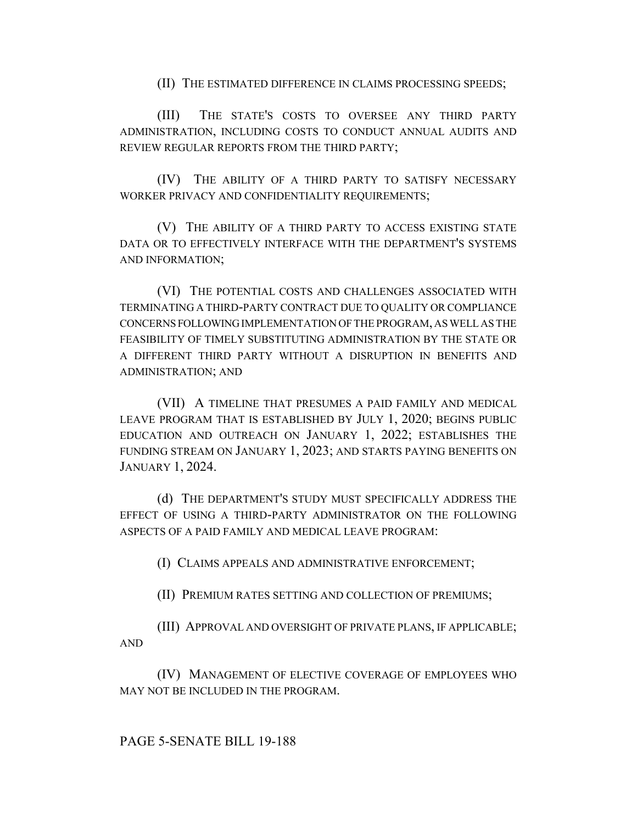(II) THE ESTIMATED DIFFERENCE IN CLAIMS PROCESSING SPEEDS;

(III) THE STATE'S COSTS TO OVERSEE ANY THIRD PARTY ADMINISTRATION, INCLUDING COSTS TO CONDUCT ANNUAL AUDITS AND REVIEW REGULAR REPORTS FROM THE THIRD PARTY;

(IV) THE ABILITY OF A THIRD PARTY TO SATISFY NECESSARY WORKER PRIVACY AND CONFIDENTIALITY REQUIREMENTS;

(V) THE ABILITY OF A THIRD PARTY TO ACCESS EXISTING STATE DATA OR TO EFFECTIVELY INTERFACE WITH THE DEPARTMENT'S SYSTEMS AND INFORMATION;

(VI) THE POTENTIAL COSTS AND CHALLENGES ASSOCIATED WITH TERMINATING A THIRD-PARTY CONTRACT DUE TO QUALITY OR COMPLIANCE CONCERNS FOLLOWING IMPLEMENTATION OF THE PROGRAM, AS WELL AS THE FEASIBILITY OF TIMELY SUBSTITUTING ADMINISTRATION BY THE STATE OR A DIFFERENT THIRD PARTY WITHOUT A DISRUPTION IN BENEFITS AND ADMINISTRATION; AND

(VII) A TIMELINE THAT PRESUMES A PAID FAMILY AND MEDICAL LEAVE PROGRAM THAT IS ESTABLISHED BY JULY 1, 2020; BEGINS PUBLIC EDUCATION AND OUTREACH ON JANUARY 1, 2022; ESTABLISHES THE FUNDING STREAM ON JANUARY 1, 2023; AND STARTS PAYING BENEFITS ON JANUARY 1, 2024.

(d) THE DEPARTMENT'S STUDY MUST SPECIFICALLY ADDRESS THE EFFECT OF USING A THIRD-PARTY ADMINISTRATOR ON THE FOLLOWING ASPECTS OF A PAID FAMILY AND MEDICAL LEAVE PROGRAM:

(I) CLAIMS APPEALS AND ADMINISTRATIVE ENFORCEMENT;

(II) PREMIUM RATES SETTING AND COLLECTION OF PREMIUMS;

(III) APPROVAL AND OVERSIGHT OF PRIVATE PLANS, IF APPLICABLE; AND

(IV) MANAGEMENT OF ELECTIVE COVERAGE OF EMPLOYEES WHO MAY NOT BE INCLUDED IN THE PROGRAM.

# PAGE 5-SENATE BILL 19-188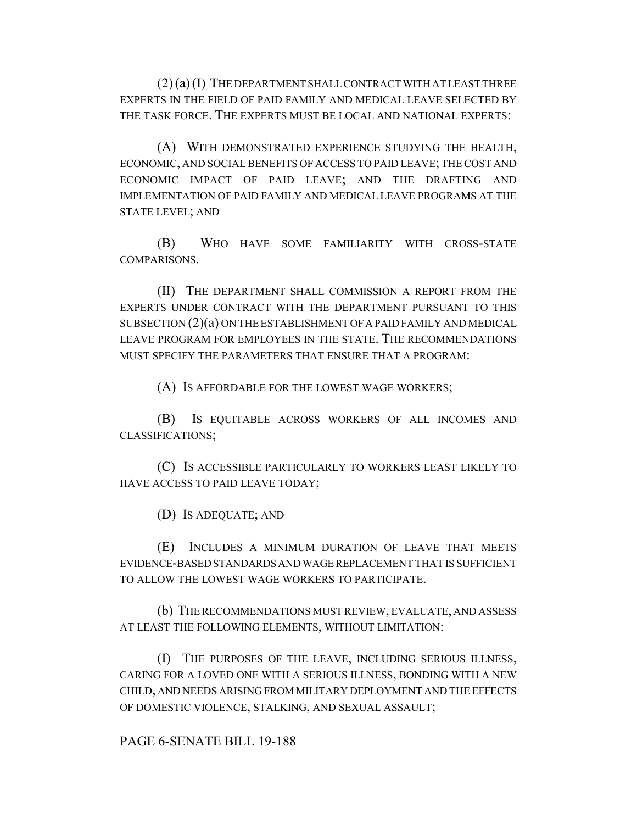(2) (a) (I) THE DEPARTMENT SHALL CONTRACT WITH AT LEAST THREE EXPERTS IN THE FIELD OF PAID FAMILY AND MEDICAL LEAVE SELECTED BY THE TASK FORCE. THE EXPERTS MUST BE LOCAL AND NATIONAL EXPERTS:

(A) WITH DEMONSTRATED EXPERIENCE STUDYING THE HEALTH, ECONOMIC, AND SOCIAL BENEFITS OF ACCESS TO PAID LEAVE; THE COST AND ECONOMIC IMPACT OF PAID LEAVE; AND THE DRAFTING AND IMPLEMENTATION OF PAID FAMILY AND MEDICAL LEAVE PROGRAMS AT THE STATE LEVEL; AND

(B) WHO HAVE SOME FAMILIARITY WITH CROSS-STATE COMPARISONS.

(II) THE DEPARTMENT SHALL COMMISSION A REPORT FROM THE EXPERTS UNDER CONTRACT WITH THE DEPARTMENT PURSUANT TO THIS SUBSECTION (2)(a) ON THE ESTABLISHMENT OF A PAID FAMILY AND MEDICAL LEAVE PROGRAM FOR EMPLOYEES IN THE STATE. THE RECOMMENDATIONS MUST SPECIFY THE PARAMETERS THAT ENSURE THAT A PROGRAM:

(A) IS AFFORDABLE FOR THE LOWEST WAGE WORKERS;

(B) IS EQUITABLE ACROSS WORKERS OF ALL INCOMES AND CLASSIFICATIONS;

(C) IS ACCESSIBLE PARTICULARLY TO WORKERS LEAST LIKELY TO HAVE ACCESS TO PAID LEAVE TODAY;

(D) IS ADEQUATE; AND

(E) INCLUDES A MINIMUM DURATION OF LEAVE THAT MEETS EVIDENCE-BASED STANDARDS AND WAGE REPLACEMENT THAT IS SUFFICIENT TO ALLOW THE LOWEST WAGE WORKERS TO PARTICIPATE.

(b) THE RECOMMENDATIONS MUST REVIEW, EVALUATE, AND ASSESS AT LEAST THE FOLLOWING ELEMENTS, WITHOUT LIMITATION:

(I) THE PURPOSES OF THE LEAVE, INCLUDING SERIOUS ILLNESS, CARING FOR A LOVED ONE WITH A SERIOUS ILLNESS, BONDING WITH A NEW CHILD, AND NEEDS ARISING FROM MILITARY DEPLOYMENT AND THE EFFECTS OF DOMESTIC VIOLENCE, STALKING, AND SEXUAL ASSAULT;

PAGE 6-SENATE BILL 19-188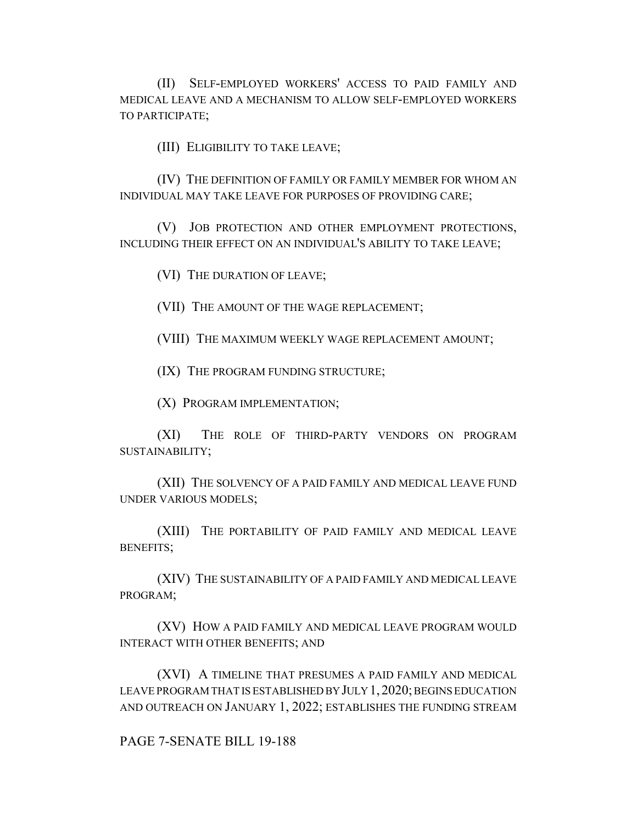(II) SELF-EMPLOYED WORKERS' ACCESS TO PAID FAMILY AND MEDICAL LEAVE AND A MECHANISM TO ALLOW SELF-EMPLOYED WORKERS TO PARTICIPATE;

(III) ELIGIBILITY TO TAKE LEAVE;

(IV) THE DEFINITION OF FAMILY OR FAMILY MEMBER FOR WHOM AN INDIVIDUAL MAY TAKE LEAVE FOR PURPOSES OF PROVIDING CARE;

(V) JOB PROTECTION AND OTHER EMPLOYMENT PROTECTIONS, INCLUDING THEIR EFFECT ON AN INDIVIDUAL'S ABILITY TO TAKE LEAVE;

(VI) THE DURATION OF LEAVE;

(VII) THE AMOUNT OF THE WAGE REPLACEMENT;

(VIII) THE MAXIMUM WEEKLY WAGE REPLACEMENT AMOUNT;

(IX) THE PROGRAM FUNDING STRUCTURE;

(X) PROGRAM IMPLEMENTATION;

(XI) THE ROLE OF THIRD-PARTY VENDORS ON PROGRAM SUSTAINABILITY;

(XII) THE SOLVENCY OF A PAID FAMILY AND MEDICAL LEAVE FUND UNDER VARIOUS MODELS;

(XIII) THE PORTABILITY OF PAID FAMILY AND MEDICAL LEAVE BENEFITS;

(XIV) THE SUSTAINABILITY OF A PAID FAMILY AND MEDICAL LEAVE PROGRAM;

(XV) HOW A PAID FAMILY AND MEDICAL LEAVE PROGRAM WOULD INTERACT WITH OTHER BENEFITS; AND

(XVI) A TIMELINE THAT PRESUMES A PAID FAMILY AND MEDICAL LEAVE PROGRAM THAT IS ESTABLISHED BY JULY 1,2020; BEGINS EDUCATION AND OUTREACH ON JANUARY 1, 2022; ESTABLISHES THE FUNDING STREAM

### PAGE 7-SENATE BILL 19-188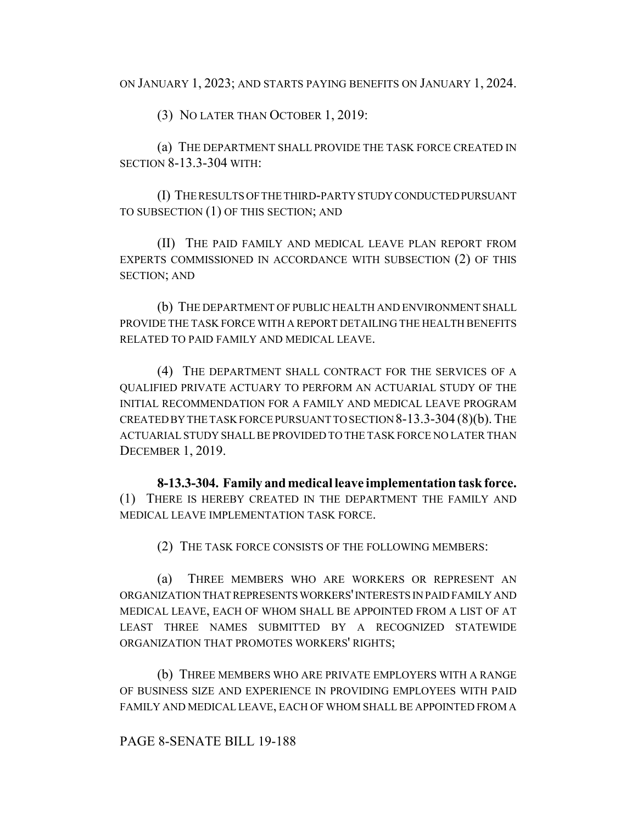ON JANUARY 1, 2023; AND STARTS PAYING BENEFITS ON JANUARY 1, 2024.

(3) NO LATER THAN OCTOBER 1, 2019:

(a) THE DEPARTMENT SHALL PROVIDE THE TASK FORCE CREATED IN SECTION 8-13.3-304 WITH:

(I) THE RESULTS OF THE THIRD-PARTY STUDY CONDUCTED PURSUANT TO SUBSECTION (1) OF THIS SECTION; AND

(II) THE PAID FAMILY AND MEDICAL LEAVE PLAN REPORT FROM EXPERTS COMMISSIONED IN ACCORDANCE WITH SUBSECTION (2) OF THIS SECTION; AND

(b) THE DEPARTMENT OF PUBLIC HEALTH AND ENVIRONMENT SHALL PROVIDE THE TASK FORCE WITH A REPORT DETAILING THE HEALTH BENEFITS RELATED TO PAID FAMILY AND MEDICAL LEAVE.

(4) THE DEPARTMENT SHALL CONTRACT FOR THE SERVICES OF A QUALIFIED PRIVATE ACTUARY TO PERFORM AN ACTUARIAL STUDY OF THE INITIAL RECOMMENDATION FOR A FAMILY AND MEDICAL LEAVE PROGRAM CREATED BY THE TASK FORCE PURSUANT TO SECTION 8-13.3-304 (8)(b). THE ACTUARIAL STUDY SHALL BE PROVIDED TO THE TASK FORCE NO LATER THAN DECEMBER 1, 2019.

**8-13.3-304. Family and medical leave implementation task force.** (1) THERE IS HEREBY CREATED IN THE DEPARTMENT THE FAMILY AND MEDICAL LEAVE IMPLEMENTATION TASK FORCE.

(2) THE TASK FORCE CONSISTS OF THE FOLLOWING MEMBERS:

(a) THREE MEMBERS WHO ARE WORKERS OR REPRESENT AN ORGANIZATION THAT REPRESENTS WORKERS' INTERESTS IN PAID FAMILY AND MEDICAL LEAVE, EACH OF WHOM SHALL BE APPOINTED FROM A LIST OF AT LEAST THREE NAMES SUBMITTED BY A RECOGNIZED STATEWIDE ORGANIZATION THAT PROMOTES WORKERS' RIGHTS;

(b) THREE MEMBERS WHO ARE PRIVATE EMPLOYERS WITH A RANGE OF BUSINESS SIZE AND EXPERIENCE IN PROVIDING EMPLOYEES WITH PAID FAMILY AND MEDICAL LEAVE, EACH OF WHOM SHALL BE APPOINTED FROM A

## PAGE 8-SENATE BILL 19-188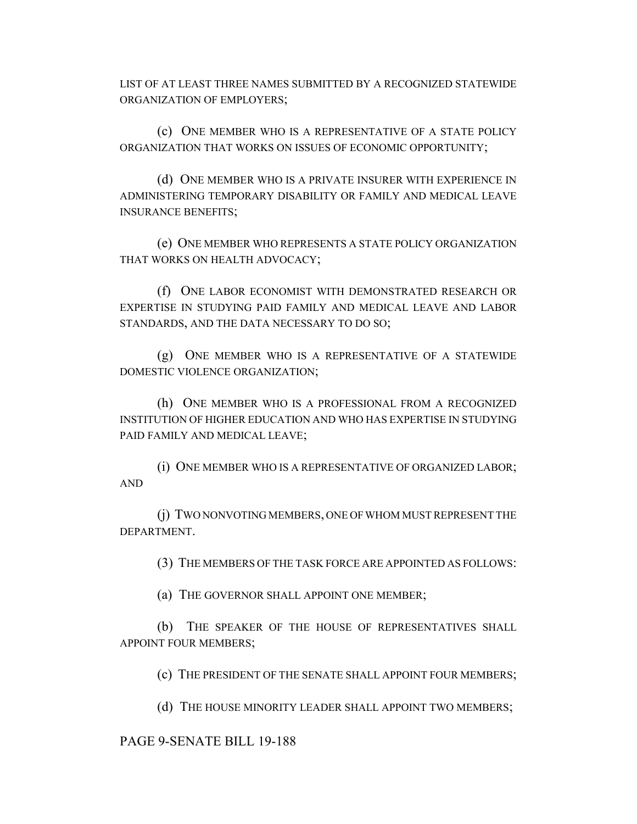LIST OF AT LEAST THREE NAMES SUBMITTED BY A RECOGNIZED STATEWIDE ORGANIZATION OF EMPLOYERS;

(c) ONE MEMBER WHO IS A REPRESENTATIVE OF A STATE POLICY ORGANIZATION THAT WORKS ON ISSUES OF ECONOMIC OPPORTUNITY;

(d) ONE MEMBER WHO IS A PRIVATE INSURER WITH EXPERIENCE IN ADMINISTERING TEMPORARY DISABILITY OR FAMILY AND MEDICAL LEAVE INSURANCE BENEFITS;

(e) ONE MEMBER WHO REPRESENTS A STATE POLICY ORGANIZATION THAT WORKS ON HEALTH ADVOCACY;

(f) ONE LABOR ECONOMIST WITH DEMONSTRATED RESEARCH OR EXPERTISE IN STUDYING PAID FAMILY AND MEDICAL LEAVE AND LABOR STANDARDS, AND THE DATA NECESSARY TO DO SO;

(g) ONE MEMBER WHO IS A REPRESENTATIVE OF A STATEWIDE DOMESTIC VIOLENCE ORGANIZATION;

(h) ONE MEMBER WHO IS A PROFESSIONAL FROM A RECOGNIZED INSTITUTION OF HIGHER EDUCATION AND WHO HAS EXPERTISE IN STUDYING PAID FAMILY AND MEDICAL LEAVE;

(i) ONE MEMBER WHO IS A REPRESENTATIVE OF ORGANIZED LABOR; AND

(j) TWO NONVOTING MEMBERS, ONE OF WHOM MUST REPRESENT THE DEPARTMENT.

(3) THE MEMBERS OF THE TASK FORCE ARE APPOINTED AS FOLLOWS:

(a) THE GOVERNOR SHALL APPOINT ONE MEMBER;

(b) THE SPEAKER OF THE HOUSE OF REPRESENTATIVES SHALL APPOINT FOUR MEMBERS;

(c) THE PRESIDENT OF THE SENATE SHALL APPOINT FOUR MEMBERS;

(d) THE HOUSE MINORITY LEADER SHALL APPOINT TWO MEMBERS;

### PAGE 9-SENATE BILL 19-188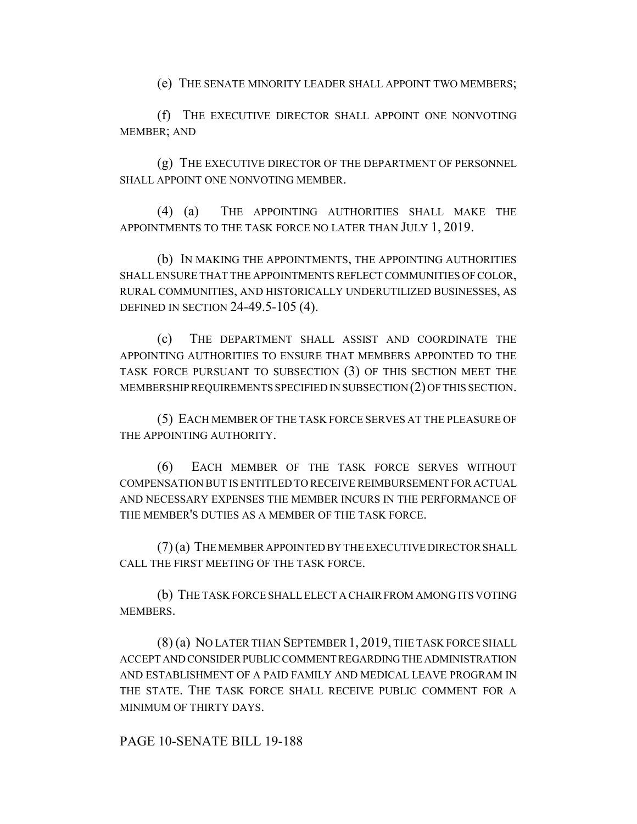(e) THE SENATE MINORITY LEADER SHALL APPOINT TWO MEMBERS;

(f) THE EXECUTIVE DIRECTOR SHALL APPOINT ONE NONVOTING MEMBER; AND

(g) THE EXECUTIVE DIRECTOR OF THE DEPARTMENT OF PERSONNEL SHALL APPOINT ONE NONVOTING MEMBER.

(4) (a) THE APPOINTING AUTHORITIES SHALL MAKE THE APPOINTMENTS TO THE TASK FORCE NO LATER THAN JULY 1, 2019.

(b) IN MAKING THE APPOINTMENTS, THE APPOINTING AUTHORITIES SHALL ENSURE THAT THE APPOINTMENTS REFLECT COMMUNITIES OF COLOR, RURAL COMMUNITIES, AND HISTORICALLY UNDERUTILIZED BUSINESSES, AS DEFINED IN SECTION 24-49.5-105 (4).

(c) THE DEPARTMENT SHALL ASSIST AND COORDINATE THE APPOINTING AUTHORITIES TO ENSURE THAT MEMBERS APPOINTED TO THE TASK FORCE PURSUANT TO SUBSECTION (3) OF THIS SECTION MEET THE MEMBERSHIP REQUIREMENTS SPECIFIED IN SUBSECTION (2) OF THIS SECTION.

(5) EACH MEMBER OF THE TASK FORCE SERVES AT THE PLEASURE OF THE APPOINTING AUTHORITY.

(6) EACH MEMBER OF THE TASK FORCE SERVES WITHOUT COMPENSATION BUT IS ENTITLED TO RECEIVE REIMBURSEMENT FOR ACTUAL AND NECESSARY EXPENSES THE MEMBER INCURS IN THE PERFORMANCE OF THE MEMBER'S DUTIES AS A MEMBER OF THE TASK FORCE.

(7) (a) THE MEMBER APPOINTED BY THE EXECUTIVE DIRECTOR SHALL CALL THE FIRST MEETING OF THE TASK FORCE.

(b) THE TASK FORCE SHALL ELECT A CHAIR FROM AMONG ITS VOTING MEMBERS.

(8) (a) NO LATER THAN SEPTEMBER 1, 2019, THE TASK FORCE SHALL ACCEPT AND CONSIDER PUBLIC COMMENT REGARDING THE ADMINISTRATION AND ESTABLISHMENT OF A PAID FAMILY AND MEDICAL LEAVE PROGRAM IN THE STATE. THE TASK FORCE SHALL RECEIVE PUBLIC COMMENT FOR A MINIMUM OF THIRTY DAYS.

PAGE 10-SENATE BILL 19-188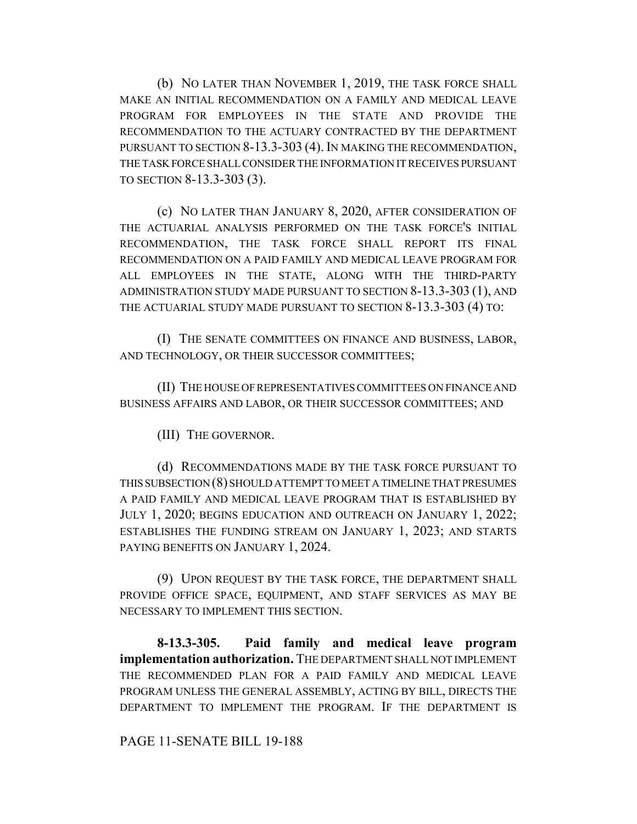(b) NO LATER THAN NOVEMBER 1, 2019, THE TASK FORCE SHALL MAKE AN INITIAL RECOMMENDATION ON A FAMILY AND MEDICAL LEAVE PROGRAM FOR EMPLOYEES IN THE STATE AND PROVIDE THE RECOMMENDATION TO THE ACTUARY CONTRACTED BY THE DEPARTMENT PURSUANT TO SECTION 8-13.3-303 (4). IN MAKING THE RECOMMENDATION, THE TASK FORCE SHALL CONSIDER THE INFORMATION IT RECEIVES PURSUANT TO SECTION 8-13.3-303 (3).

(c) NO LATER THAN JANUARY 8, 2020, AFTER CONSIDERATION OF THE ACTUARIAL ANALYSIS PERFORMED ON THE TASK FORCE'S INITIAL RECOMMENDATION, THE TASK FORCE SHALL REPORT ITS FINAL RECOMMENDATION ON A PAID FAMILY AND MEDICAL LEAVE PROGRAM FOR ALL EMPLOYEES IN THE STATE, ALONG WITH THE THIRD-PARTY ADMINISTRATION STUDY MADE PURSUANT TO SECTION 8-13.3-303 (1), AND THE ACTUARIAL STUDY MADE PURSUANT TO SECTION 8-13.3-303 (4) TO:

(I) THE SENATE COMMITTEES ON FINANCE AND BUSINESS, LABOR, AND TECHNOLOGY, OR THEIR SUCCESSOR COMMITTEES;

(II) THE HOUSE OF REPRESENTATIVES COMMITTEES ON FINANCE AND BUSINESS AFFAIRS AND LABOR, OR THEIR SUCCESSOR COMMITTEES; AND

(III) THE GOVERNOR.

(d) RECOMMENDATIONS MADE BY THE TASK FORCE PURSUANT TO THIS SUBSECTION (8) SHOULD ATTEMPT TO MEET A TIMELINE THAT PRESUMES A PAID FAMILY AND MEDICAL LEAVE PROGRAM THAT IS ESTABLISHED BY JULY 1, 2020; BEGINS EDUCATION AND OUTREACH ON JANUARY 1, 2022; ESTABLISHES THE FUNDING STREAM ON JANUARY 1, 2023; AND STARTS PAYING BENEFITS ON JANUARY 1, 2024.

(9) UPON REQUEST BY THE TASK FORCE, THE DEPARTMENT SHALL PROVIDE OFFICE SPACE, EQUIPMENT, AND STAFF SERVICES AS MAY BE NECESSARY TO IMPLEMENT THIS SECTION.

**8-13.3-305. Paid family and medical leave program implementation authorization.** THE DEPARTMENT SHALL NOT IMPLEMENT THE RECOMMENDED PLAN FOR A PAID FAMILY AND MEDICAL LEAVE PROGRAM UNLESS THE GENERAL ASSEMBLY, ACTING BY BILL, DIRECTS THE DEPARTMENT TO IMPLEMENT THE PROGRAM. IF THE DEPARTMENT IS

PAGE 11-SENATE BILL 19-188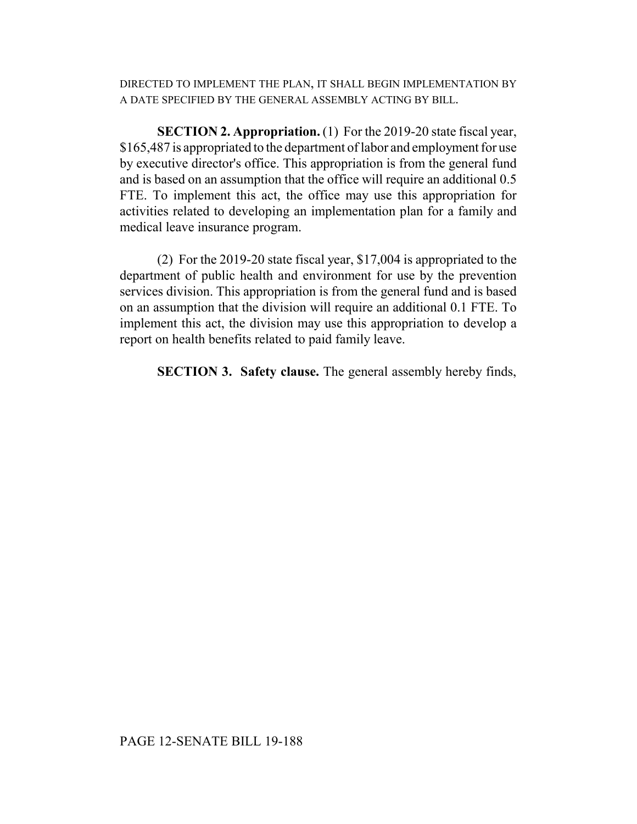DIRECTED TO IMPLEMENT THE PLAN, IT SHALL BEGIN IMPLEMENTATION BY A DATE SPECIFIED BY THE GENERAL ASSEMBLY ACTING BY BILL.

**SECTION 2. Appropriation.** (1) For the 2019-20 state fiscal year, \$165,487 is appropriated to the department of labor and employment for use by executive director's office. This appropriation is from the general fund and is based on an assumption that the office will require an additional 0.5 FTE. To implement this act, the office may use this appropriation for activities related to developing an implementation plan for a family and medical leave insurance program.

(2) For the 2019-20 state fiscal year, \$17,004 is appropriated to the department of public health and environment for use by the prevention services division. This appropriation is from the general fund and is based on an assumption that the division will require an additional 0.1 FTE. To implement this act, the division may use this appropriation to develop a report on health benefits related to paid family leave.

**SECTION 3. Safety clause.** The general assembly hereby finds,